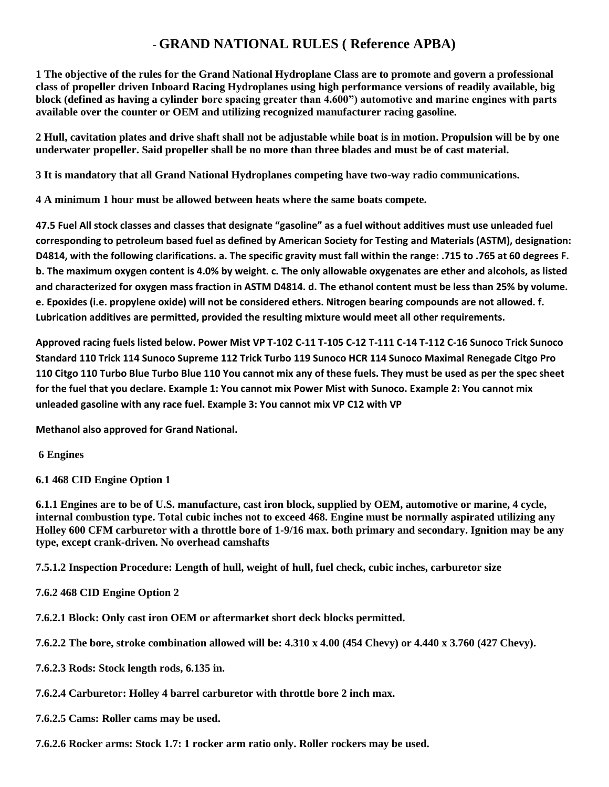## **- GRAND NATIONAL RULES ( Reference APBA)**

**1 The objective of the rules for the Grand National Hydroplane Class are to promote and govern a professional class of propeller driven Inboard Racing Hydroplanes using high performance versions of readily available, big block (defined as having a cylinder bore spacing greater than 4.600") automotive and marine engines with parts available over the counter or OEM and utilizing recognized manufacturer racing gasoline.** 

**2 Hull, cavitation plates and drive shaft shall not be adjustable while boat is in motion. Propulsion will be by one underwater propeller. Said propeller shall be no more than three blades and must be of cast material.** 

**3 It is mandatory that all Grand National Hydroplanes competing have two-way radio communications.** 

**4 A minimum 1 hour must be allowed between heats where the same boats compete.** 

**47.5 Fuel All stock classes and classes that designate "gasoline" as a fuel without additives must use unleaded fuel corresponding to petroleum based fuel as defined by American Society for Testing and Materials (ASTM), designation: D4814, with the following clarifications. a. The specific gravity must fall within the range: .715 to .765 at 60 degrees F. b. The maximum oxygen content is 4.0% by weight. c. The only allowable oxygenates are ether and alcohols, as listed and characterized for oxygen mass fraction in ASTM D4814. d. The ethanol content must be less than 25% by volume. e. Epoxides (i.e. propylene oxide) will not be considered ethers. Nitrogen bearing compounds are not allowed. f. Lubrication additives are permitted, provided the resulting mixture would meet all other requirements.** 

**Approved racing fuels listed below. Power Mist VP T-102 C-11 T-105 C-12 T-111 C-14 T-112 C-16 Sunoco Trick Sunoco Standard 110 Trick 114 Sunoco Supreme 112 Trick Turbo 119 Sunoco HCR 114 Sunoco Maximal Renegade Citgo Pro 110 Citgo 110 Turbo Blue Turbo Blue 110 You cannot mix any of these fuels. They must be used as per the spec sheet for the fuel that you declare. Example 1: You cannot mix Power Mist with Sunoco. Example 2: You cannot mix unleaded gasoline with any race fuel. Example 3: You cannot mix VP C12 with VP** 

**Methanol also approved for Grand National.**

**6 Engines** 

**6.1 468 CID Engine Option 1** 

**6.1.1 Engines are to be of U.S. manufacture, cast iron block, supplied by OEM, automotive or marine, 4 cycle, internal combustion type. Total cubic inches not to exceed 468. Engine must be normally aspirated utilizing any Holley 600 CFM carburetor with a throttle bore of 1-9/16 max. both primary and secondary. Ignition may be any type, except crank-driven. No overhead camshafts** 

**7.5.1.2 Inspection Procedure: Length of hull, weight of hull, fuel check, cubic inches, carburetor size** 

**7.6.2 468 CID Engine Option 2** 

**7.6.2.1 Block: Only cast iron OEM or aftermarket short deck blocks permitted.** 

**7.6.2.2 The bore, stroke combination allowed will be: 4.310 x 4.00 (454 Chevy) or 4.440 x 3.760 (427 Chevy).** 

**7.6.2.3 Rods: Stock length rods, 6.135 in.** 

**7.6.2.4 Carburetor: Holley 4 barrel carburetor with throttle bore 2 inch max.** 

**7.6.2.5 Cams: Roller cams may be used.** 

**7.6.2.6 Rocker arms: Stock 1.7: 1 rocker arm ratio only. Roller rockers may be used.**